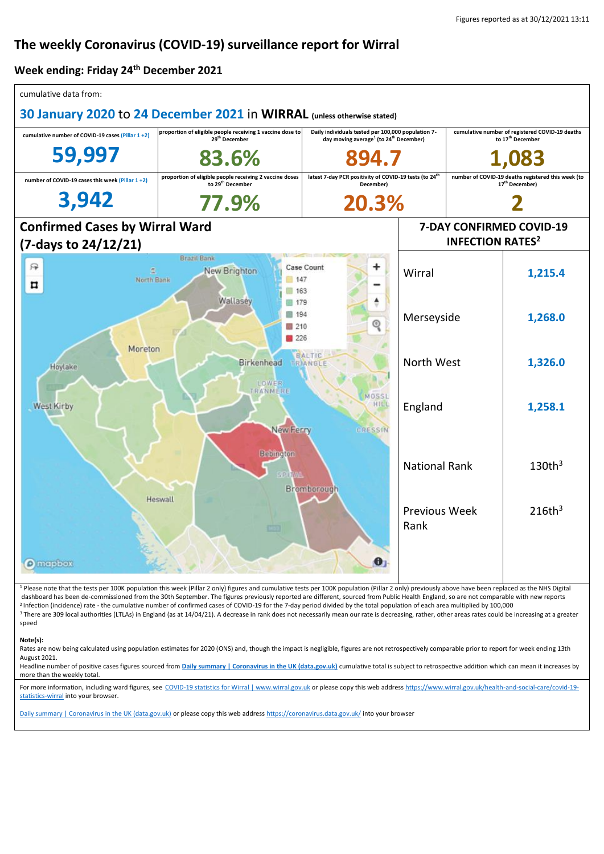# **The weekly Coronavirus (COVID-19) surveillance report for Wirral**

### **Week ending: Friday 24th December 2021**

| cumulative data from:                                                                                                                                                                                                  |                                                                                                                                                                                                                                                                                                                                                                                                                                                                                                                                                                                                  |                                                                                                                      |                                                                |                                                                                  |                    |  |
|------------------------------------------------------------------------------------------------------------------------------------------------------------------------------------------------------------------------|--------------------------------------------------------------------------------------------------------------------------------------------------------------------------------------------------------------------------------------------------------------------------------------------------------------------------------------------------------------------------------------------------------------------------------------------------------------------------------------------------------------------------------------------------------------------------------------------------|----------------------------------------------------------------------------------------------------------------------|----------------------------------------------------------------|----------------------------------------------------------------------------------|--------------------|--|
| 30 January 2020 to 24 December 2021 in WIRRAL (unless otherwise stated)                                                                                                                                                |                                                                                                                                                                                                                                                                                                                                                                                                                                                                                                                                                                                                  |                                                                                                                      |                                                                |                                                                                  |                    |  |
| cumulative number of COVID-19 cases (Pillar 1+2)                                                                                                                                                                       | proportion of eligible people receiving 1 vaccine dose to<br>29 <sup>th</sup> December                                                                                                                                                                                                                                                                                                                                                                                                                                                                                                           | Daily individuals tested per 100,000 population 7-<br>day moving average <sup>1</sup> (to 24 <sup>th</sup> December) |                                                                | cumulative number of registered COVID-19 deaths<br>to 17 <sup>th</sup> December  |                    |  |
| 59,997                                                                                                                                                                                                                 | 83.6%                                                                                                                                                                                                                                                                                                                                                                                                                                                                                                                                                                                            | 894.7                                                                                                                |                                                                | 1,083                                                                            |                    |  |
| number of COVID-19 cases this week (Pillar 1+2)                                                                                                                                                                        | proportion of eligible people receiving 2 vaccine doses<br>to 29 <sup>th</sup> December                                                                                                                                                                                                                                                                                                                                                                                                                                                                                                          | latest 7-day PCR positivity of COVID-19 tests (to 24 <sup>th</sup><br>December)                                      |                                                                | number of COVID-19 deaths registered this week (to<br>17 <sup>th</sup> December) |                    |  |
| 3,942                                                                                                                                                                                                                  | 77.9%                                                                                                                                                                                                                                                                                                                                                                                                                                                                                                                                                                                            | 20.3%                                                                                                                |                                                                |                                                                                  |                    |  |
| <b>Confirmed Cases by Wirral Ward</b>                                                                                                                                                                                  |                                                                                                                                                                                                                                                                                                                                                                                                                                                                                                                                                                                                  |                                                                                                                      | 7-DAY CONFIRMED COVID-19<br><b>INFECTION RATES<sup>2</sup></b> |                                                                                  |                    |  |
| (7-days to 24/12/21)<br><b>Brazil Bank</b>                                                                                                                                                                             |                                                                                                                                                                                                                                                                                                                                                                                                                                                                                                                                                                                                  |                                                                                                                      |                                                                |                                                                                  |                    |  |
| 邤<br>£.<br>North Bank<br>¤                                                                                                                                                                                             | New Brighton<br>147<br>163                                                                                                                                                                                                                                                                                                                                                                                                                                                                                                                                                                       | Case Count                                                                                                           | Wirral                                                         |                                                                                  | 1,215.4            |  |
| Wallasey<br>■ 179<br>■ 194<br>◎<br>210<br>226<br>Moreton<br>BALTIC<br>Birkenhead<br>TRIANGLE<br>Hoylake<br>LOWER<br>TRANMERE<br>MOSSL<br>HILI<br>West Kirby<br><b>New Ferry</b><br>CRESSIN<br>Bebington<br>Bromborough |                                                                                                                                                                                                                                                                                                                                                                                                                                                                                                                                                                                                  |                                                                                                                      | Merseyside                                                     |                                                                                  | 1,268.0            |  |
|                                                                                                                                                                                                                        |                                                                                                                                                                                                                                                                                                                                                                                                                                                                                                                                                                                                  |                                                                                                                      | North West                                                     |                                                                                  | 1,326.0            |  |
|                                                                                                                                                                                                                        |                                                                                                                                                                                                                                                                                                                                                                                                                                                                                                                                                                                                  |                                                                                                                      | England                                                        |                                                                                  | 1,258.1            |  |
|                                                                                                                                                                                                                        |                                                                                                                                                                                                                                                                                                                                                                                                                                                                                                                                                                                                  |                                                                                                                      | <b>National Rank</b>                                           |                                                                                  | $130th^3$          |  |
|                                                                                                                                                                                                                        | Heswall                                                                                                                                                                                                                                                                                                                                                                                                                                                                                                                                                                                          |                                                                                                                      | <b>Previous Week</b><br>Rank                                   |                                                                                  | 216th <sup>3</sup> |  |
| <b>O</b> mapbox                                                                                                                                                                                                        |                                                                                                                                                                                                                                                                                                                                                                                                                                                                                                                                                                                                  | U                                                                                                                    |                                                                |                                                                                  |                    |  |
| <sup>3</sup> There are 309 local authorities (LTLAs) in England (as at 14/04/21). A decrease in rank does not necessarily mean our rate is decreasing, rather, other areas rates could be increasing at a greater      | <sup>1</sup> Please note that the tests per 100K population this week (Pillar 2 only) figures and cumulative tests per 100K population (Pillar 2 only) previously above have been replaced as the NHS Digital<br>dashboard has been de-commissioned from the 30th September. The figures previously reported are different, sourced from Public Health England, so are not comparable with new reports<br><sup>2</sup> Infection (incidence) rate - the cumulative number of confirmed cases of COVID-19 for the 7-day period divided by the total population of each area multiplied by 100,000 |                                                                                                                      |                                                                |                                                                                  |                    |  |

#### speed **Note(s):**

.........<br>Rates are now being calculated using population estimates for 2020 (ONS) and, though the impact is negligible, figures are not retrospectively comparable prior to report for week ending 13th August 2021.

Headline number of positive cases figures sourced from **[Daily summary | Coronavirus in the UK \(data.gov.uk\)](https://coronavirus.data.gov.uk/)** cumulative total is subject to retrospective addition which can mean it increases by more than the weekly total.

For more information, including ward figures, see [COVID-19 statistics for Wirral | www.wirral.gov.uk](https://www.wirral.gov.uk/health-and-social-care/covid-19-statistics-wirral) or please copy this web addres[s https://www.wirral.gov.uk/health-and-social-care/covid-19](https://www.wirral.gov.uk/health-and-social-care/covid-19-statistics-wirral) [statistics-wirral](https://www.wirral.gov.uk/health-and-social-care/covid-19-statistics-wirral) into your browser.

[Daily summary | Coronavirus in the UK \(data.gov.uk\)](https://coronavirus.data.gov.uk/) or please copy this web addres[s https://coronavirus.data.gov.uk/](https://coronavirus.data.gov.uk/) into your browser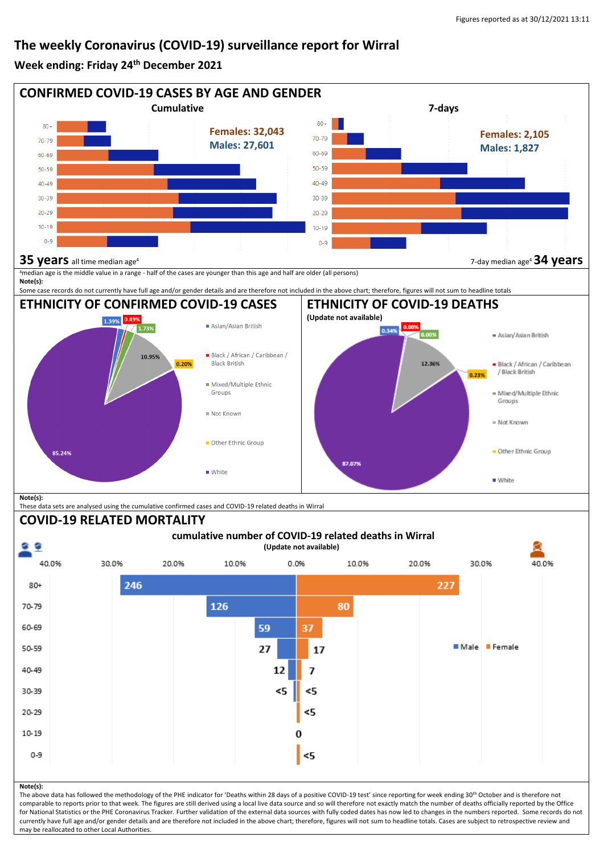## **The weekly Coronavirus (COVID-19) surveillance report for Wirral**

### **Week ending: Friday 24th December 2021**



comparable to reports prior to that week. The figures are still derived using a local live data source and so will therefore not exactly match the number of deaths officially reported by the Office for National Statistics or the PHE Coronavirus Tracker. Further validation of the external data sources with fully coded dates has now led to changes in the numbers reported. Some records do not currently have full age and/or gender details and are therefore not included in the above chart; therefore, figures will not sum to headline totals. Cases are subject to retrospective review and may be reallocated to other Local Authorities.